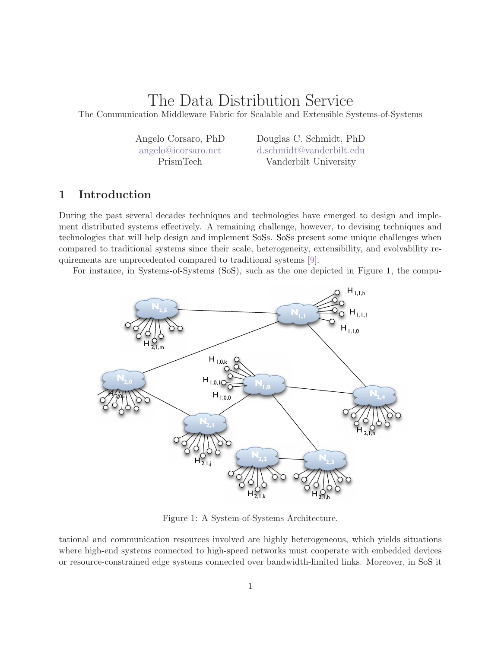# The Data Distribution Service

The Communication Middleware Fabric for Scalable and Extensible Systems-of-Systems

Angelo Corsaro, PhD [angelo@icorsaro.net](mailto:angelo@icorsaro.net) PrismTech

Douglas C. Schmidt, PhD [d.schmidt@vanderbilt.edu](mailto:d.schmidt@vanderbilt.edu) Vanderbilt University

### 1 Introduction

During the past several decades techniques and technologies have emerged to design and implement distributed systems effectively. A remaining challenge, however, to devising techniques and technologies that will help design and implement [SoSs](#page-17-0). [SoSs](#page-17-0) present some unique challenges when compared to traditional systems since their scale, heterogeneity, extensibility, and evolvability requirements are unprecedented compared to traditional systems [\[9\]](#page-18-0).

<span id="page-0-1"></span>For instance, in Systems-of-Systems [\(SoS\)](#page-17-0), such as the one depicted in Figure [1,](#page-0-0) the compu-



<span id="page-0-0"></span>Figure 1: A System-of-Systems Architecture.

tational and communication resources involved are highly heterogeneous, which yields situations where high-end systems connected to high-speed networks must cooperate with embedded devices or resource-constrained edge systems connected over bandwidth-limited links. Moreover, in [SoS](#page-17-0) it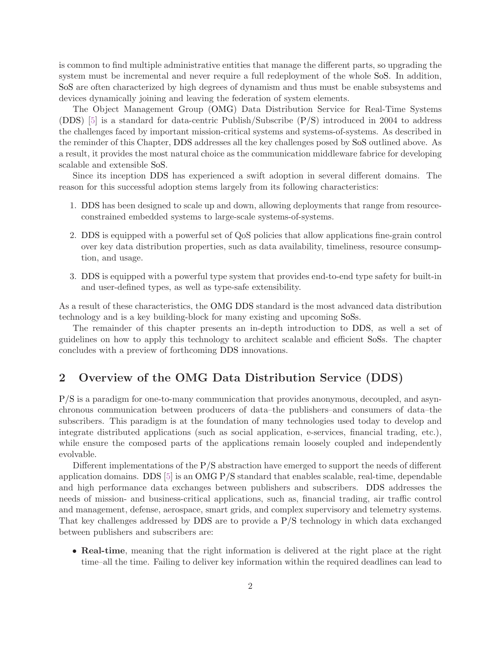is common to find multiple administrative entities that manage the different parts, so upgrading the system must be incremental and never require a full redeployment of the whole [SoS.](#page-17-0) In addition, [SoS](#page-17-0) are often characterized by high degrees of dynamism and thus must be enable subsystems and devices dynamically joining and leaving the federation of system elements.

<span id="page-1-2"></span><span id="page-1-1"></span><span id="page-1-0"></span>The Object Management Group [\(OMG\)](#page-17-1) Data Distribution Service for Real-Time Systems [\(DDS\)](#page-17-2) [\[5\]](#page-18-1) is a standard for data-centric Publish/Subscribe [\(P/S\)](#page-17-3) introduced in 2004 to address the challenges faced by important mission-critical systems and systems-of-systems. As described in the reminder of this Chapter, [DDS](#page-17-2) addresses all the key challenges posed by [SoS](#page-17-0) outlined above. As a result, it provides the most natural choice as the communication middleware fabrice for developing scalable and extensible [SoS.](#page-17-0)

Since its inception [DDS](#page-17-2) has experienced a swift adoption in several different domains. The reason for this successful adoption stems largely from its following characteristics:

- 1. [DDS](#page-17-2) has been designed to scale up and down, allowing deployments that range from resourceconstrained embedded systems to large-scale systems-of-systems.
- 2. [DDS](#page-17-2) is equipped with a powerful set of QoS policies that allow applications fine-grain control over key data distribution properties, such as data availability, timeliness, resource consumption, and usage.
- 3. [DDS](#page-17-2) is equipped with a powerful type system that provides end-to-end type safety for built-in and user-defined types, as well as type-safe extensibility.

As a result of these characteristics, the [OMG](#page-17-1) [DDS](#page-17-2) standard is the most advanced data distribution technology and is a key building-block for many existing and upcoming [SoSs](#page-17-0).

The remainder of this chapter presents an in-depth introduction to [DDS,](#page-17-2) as well a set of guidelines on how to apply this technology to architect scalable and efficient [SoSs](#page-17-0). The chapter concludes with a preview of forthcoming [DDS](#page-17-2) innovations.

### 2 Overview of the OMG Data Distribution Service (DDS)

[P/S](#page-17-3) is a paradigm for one-to-many communication that provides anonymous, decoupled, and asynchronous communication between producers of data–the publishers–and consumers of data–the subscribers. This paradigm is at the foundation of many technologies used today to develop and integrate distributed applications (such as social application, e-services, financial trading, etc.), while ensure the composed parts of the applications remain loosely coupled and independently evolvable.

Different implementations of the [P/S](#page-17-3) abstraction have emerged to support the needs of different application domains. [DDS](#page-17-2)  $[5]$  is an [OMG](#page-17-1) [P/S](#page-17-3) standard that enables scalable, real-time, dependable and high performance data exchanges between publishers and subscribers. [DDS](#page-17-2) addresses the needs of mission- and business-critical applications, such as, financial trading, air traffic control and management, defense, aerospace, smart grids, and complex supervisory and telemetry systems. That key challenges addressed by [DDS](#page-17-2) are to provide a [P/S](#page-17-3) technology in which data exchanged between publishers and subscribers are:

• Real-time, meaning that the right information is delivered at the right place at the right time–all the time. Failing to deliver key information within the required deadlines can lead to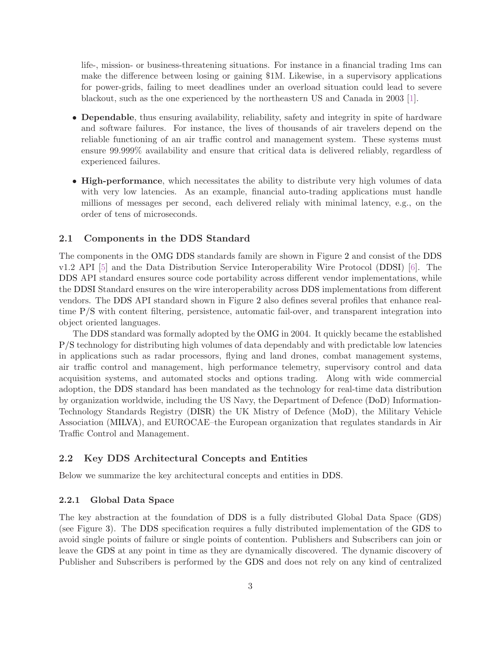life-, mission- or business-threatening situations. For instance in a financial trading 1ms can make the difference between losing or gaining \$1M. Likewise, in a supervisory applications for power-grids, failing to meet deadlines under an overload situation could lead to severe blackout, such as the one experienced by the northeastern US and Canada in 2003 [\[1\]](#page-18-2).

- Dependable, thus ensuring availability, reliability, safety and integrity in spite of hardware and software failures. For instance, the lives of thousands of air travelers depend on the reliable functioning of an air traffic control and management system. These systems must ensure 99.999% availability and ensure that critical data is delivered reliably, regardless of experienced failures.
- High-performance, which necessitates the ability to distribute very high volumes of data with very low latencies. As an example, financial auto-trading applications must handle millions of messages per second, each delivered relialy with minimal latency, e.g., on the order of tens of microseconds.

#### 2.1 Components in the DDS Standard

<span id="page-2-0"></span>The components in the [OMG](#page-17-1) [DDS](#page-17-2) standards family are shown in Figure [2](#page-3-0) and consist of the [DDS](#page-17-2) v1.2 API [\[5\]](#page-18-1) and the Data Distribution Service Interoperability Wire Protocol [\(DDSI\)](#page-17-4) [\[6\]](#page-18-3). The [DDS](#page-17-2) API standard ensures source code portability across different vendor implementations, while the [DDSI](#page-17-4) Standard ensures on the wire interoperability across [DDS](#page-17-2) implementations from different vendors. The [DDS](#page-17-2) API standard shown in Figure [2](#page-3-0) also defines several profiles that enhance realtime [P/S](#page-17-3) with content filtering, persistence, automatic fail-over, and transparent integration into object oriented languages.

<span id="page-2-1"></span>The [DDS](#page-17-2) standard was formally adopted by the [OMG](#page-17-1) in 2004. It quickly became the established [P/S](#page-17-3) technology for distributing high volumes of data dependably and with predictable low latencies in applications such as radar processors, flying and land drones, combat management systems, air traffic control and management, high performance telemetry, supervisory control and data acquisition systems, and automated stocks and options trading. Along with wide commercial adoption, the [DDS](#page-17-2) standard has been mandated as the technology for real-time data distribution by organization worldwide, including the US Navy, the Department of Defence [\(DoD\)](#page-17-5) Information-Technology Standards Registry [\(DISR\)](#page-17-6) the UK Mistry of Defence [\(MoD\)](#page-17-7), the Military Vehicle Association [\(MILVA\)](#page-17-8), and EUROCAE–the European organization that regulates standards in Air Traffic Control and Management.

#### <span id="page-2-4"></span><span id="page-2-3"></span>2.2 Key DDS Architectural Concepts and Entities

Below we summarize the key architectural concepts and entities in [DDS.](#page-17-2)

#### <span id="page-2-2"></span>2.2.1 Global Data Space

The key abstraction at the foundation of [DDS](#page-17-2) is a fully distributed Global Data Space [\(GDS\)](#page-17-9) (see Figure [3\)](#page-4-0). The [DDS](#page-17-2) specification requires a fully distributed implementation of the [GDS](#page-17-9) to avoid single points of failure or single points of contention. Publishers and Subscribers can join or leave the [GDS](#page-17-9) at any point in time as they are dynamically discovered. The dynamic discovery of Publisher and Subscribers is performed by the [GDS](#page-17-9) and does not rely on any kind of centralized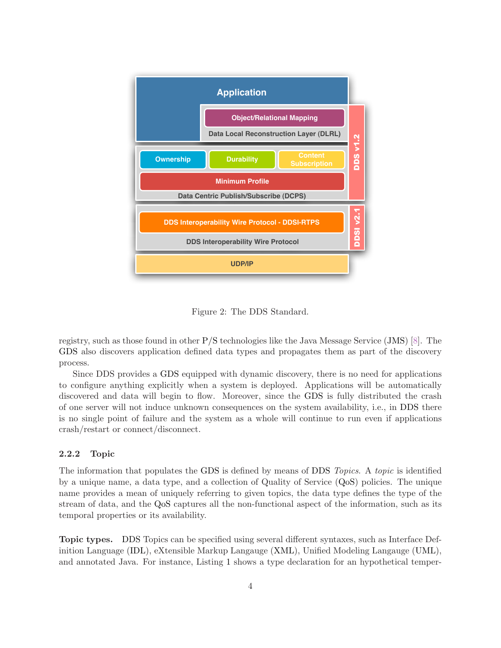

<span id="page-3-2"></span><span id="page-3-1"></span><span id="page-3-0"></span>Figure 2: The DDS Standard.

registry, such as those found in other  $P/S$  technologies like the Java Message Service [\(JMS\)](#page-17-10) [\[8\]](#page-18-4). The [GDS](#page-17-9) also discovers application defined data types and propagates them as part of the discovery process.

Since DDS provides a [GDS](#page-17-9) equipped with dynamic discovery, there is no need for applications to configure anything explicitly when a system is deployed. Applications will be automatically discovered and data will begin to flow. Moreover, since the [GDS](#page-17-9) is fully distributed the crash of one server will not induce unknown consequences on the system availability, i.e., in [DDS](#page-17-2) there is no single point of failure and the system as a whole will continue to run even if applications crash/restart or connect/disconnect.

#### 2.2.2 Topic

<span id="page-3-3"></span>The information that populates the [GDS](#page-17-9) is defined by means of [DDS](#page-17-2) Topics. A topic is identified by a unique name, a data type, and a collection of Quality of Service [\(QoS\)](#page-17-11) policies. The unique name provides a mean of uniquely referring to given topics, the data type defines the type of the stream of data, and the [QoS](#page-17-11) captures all the non-functional aspect of the information, such as its temporal properties or its availability.

<span id="page-3-5"></span><span id="page-3-4"></span>Topic types. [DDS](#page-17-2) Topics can be specified using several different syntaxes, such as Interface Definition Language [\(IDL\)](#page-17-12), eXtensible Markup Langauge [\(XML\)](#page-17-13), Unified Modeling Langauge [\(UML\)](#page-17-14), and annotated Java. For instance, Listing [1](#page-4-1) shows a type declaration for an hypothetical temper-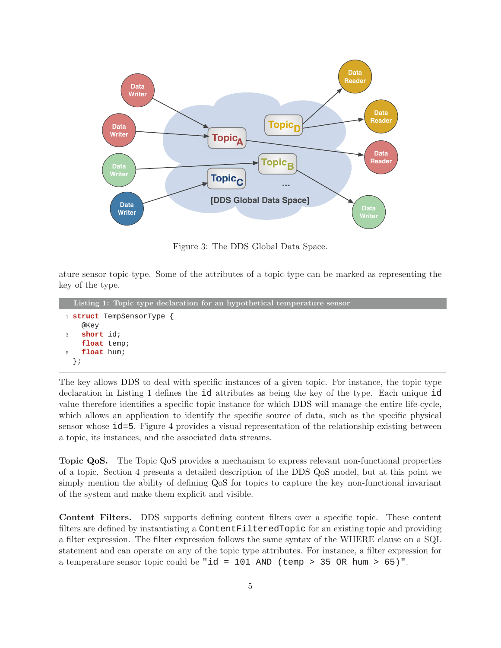

<span id="page-4-0"></span>Figure 3: The [DDS](#page-17-2) Global Data Space.

<span id="page-4-1"></span>ature sensor topic-type. Some of the attributes of a topic-type can be marked as representing the key of the type.

```
Listing 1: Topic type declaration for an hypothetical temperature sensor
1 struct TempSensorType {
    @Key
    short id;
    float temp;
5 float hum;
  };
```
The key allows [DDS](#page-17-2) to deal with specific instances of a given topic. For instance, the topic type declaration in Listing [1](#page-4-1) defines the id attributes as being the key of the type. Each unique id value therefore identifies a specific topic instance for which [DDS](#page-17-2) will manage the entire life-cycle, which allows an application to identify the specific source of data, such as the specific physical sensor whose id=5. Figure [4](#page-5-0) provides a visual representation of the relationship existing between a topic, its instances, and the associated data streams.

Topic [QoS.](#page-17-11) The Topic [QoS](#page-17-11) provides a mechanism to express relevant non-functional properties of a topic. Section [4](#page-8-0) presents a detailed description of the [DDS](#page-17-2) [QoS](#page-17-11) model, but at this point we simply mention the ability of defining [QoS](#page-17-11) for topics to capture the key non-functional invariant of the system and make them explicit and visible.

Content Filters. [DDS](#page-17-2) supports defining content filters over a specific topic. These content filters are defined by instantiating a ContentFilteredTopic for an existing topic and providing a filter expression. The filter expression follows the same syntax of the WHERE clause on a SQL statement and can operate on any of the topic type attributes. For instance, a filter expression for a temperature sensor topic could be "id = 101 AND (temp > 35 OR hum > 65)".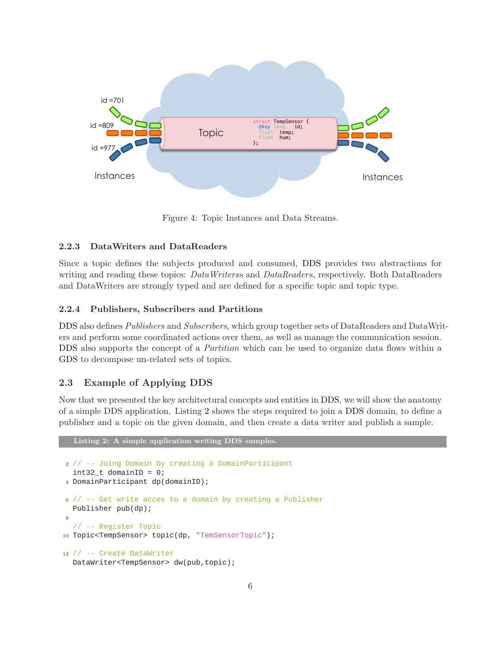

<span id="page-5-0"></span>Figure 4: Topic Instances and Data Streams.

#### 2.2.3 DataWriters and DataReaders

Since a topic defines the subjects produced and consumed, [DDS](#page-17-2) provides two abstractions for writing and reading these topics: DataWriterss and DataReaders, respectively. Both DataReaders and DataWriters are strongly typed and are defined for a specific topic and topic type.

#### 2.2.4 Publishers, Subscribers and Partitions

[DDS](#page-17-2) also defines Publishers and Subscribers, which group together sets of DataReaders and DataWriters and perform some coordinated actions over them, as well as manage the communication session. [DDS](#page-17-2) also supports the concept of a *Partition* which can be used to organize data flows within a [GDS](#page-17-9) to decompose un-related sets of topics.

#### 2.3 Example of Applying DDS

<span id="page-5-1"></span>Now that we presented the key architectural concepts and entities in [DDS,](#page-17-2) we will show the anatomy of a simple DDS application. Listing [2](#page-5-1) shows the steps required to join a [DDS](#page-17-2) domain, to define a publisher and a topic on the given domain, and then create a data writer and publish a sample.

Listing 2: A simple application writing DDS samples.

```
2 // -- Joing Domain by creating a DomainParticipant
  int32_t domainID = 0;
4 DomainParticipant dp(domainID);
6 // -- Get write acces to a domain by creating a Publisher
  Publisher pub(dp);
8
  // -- Register Topic
10 Topic<TempSensor> topic(dp, "TemSensorTopic");
12 // -- Create DataWriter
  DataWriter<TempSensor> dw(pub,topic);
```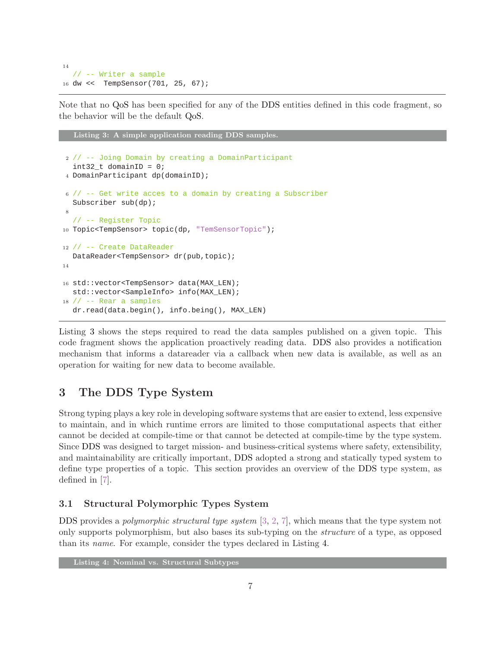```
14
  // -- Writer a sample
16 dw << TempSensor(701, 25, 67);
```
<span id="page-6-0"></span>Note that no [QoS](#page-17-11) has been specified for any of the [DDS](#page-17-2) entities defined in this code fragment, so the behavior will be the default [QoS.](#page-17-11)

```
Listing 3: A simple application reading DDS samples.
2 // -- Joing Domain by creating a DomainParticipant
  int32 t domainID = 0;
4 DomainParticipant dp(domainID);
6 // -- Get write acces to a domain by creating a Subscriber
  Subscriber sub(dp);
 8
  // -- Register Topic
10 Topic<TempSensor> topic(dp, "TemSensorTopic");
12 // -- Create DataReader
  DataReader<TempSensor> dr(pub,topic);
14
16 std::vector<TempSensor> data(MAX_LEN);
  std::vector<SampleInfo> info(MAX_LEN);
18 // -- Rear a samples
  dr.read(data.begin(), info.being(), MAX_LEN)
```
Listing [3](#page-6-0) shows the steps required to read the data samples published on a given topic. This code fragment shows the application proactively reading data. [DDS](#page-17-2) also provides a notification mechanism that informs a datareader via a callback when new data is available, as well as an operation for waiting for new data to become available.

### 3 The DDS Type System

Strong typing plays a key role in developing software systems that are easier to extend, less expensive to maintain, and in which runtime errors are limited to those computational aspects that either cannot be decided at compile-time or that cannot be detected at compile-time by the type system. Since [DDS](#page-17-2) was designed to target mission- and business-critical systems where safety, extensibility, and maintainability are critically important, [DDS](#page-17-2) adopted a strong and statically typed system to define type properties of a topic. This section provides an overview of the [DDS](#page-17-2) type system, as defined in [\[7\]](#page-18-5).

### 3.1 Structural Polymorphic Types System

<span id="page-6-1"></span>[DDS](#page-17-2) provides a polymorphic structural type system [\[3,](#page-18-6) [2,](#page-18-7) [7\]](#page-18-5), which means that the type system not only supports polymorphism, but also bases its sub-typing on the structure of a type, as opposed than its name. For example, consider the types declared in Listing [4.](#page-6-1)

```
Listing 4: Nominal vs. Structural Subtypes
```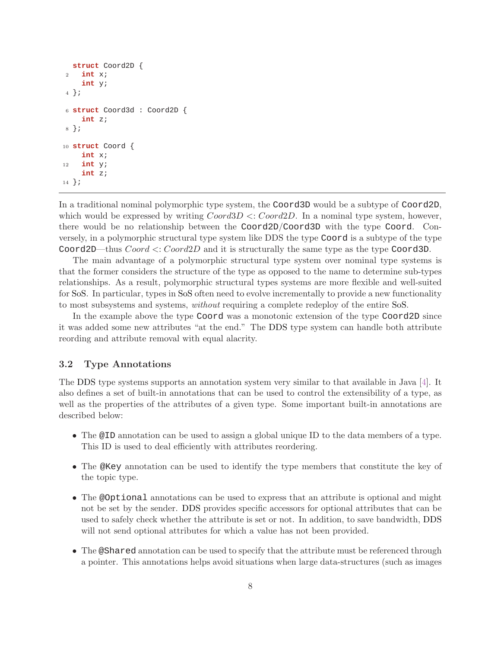```
struct Coord2D {
2 int x;
    int y;
4 };
6 struct Coord3d : Coord2D {
    int z;
8 };
10 struct Coord {
    int x;
12 int y;
    int z;
14 };
```
In a traditional nominal polymorphic type system, the Coord3D would be a subtype of Coord2D, which would be expressed by writing  $Coord3D <:Coord2D$ . In a nominal type system, however, there would be no relationship between the Coord2D/Coord3D with the type Coord. Conversely, in a polymorphic structural type system like DDS the type Coord is a subtype of the type Coord2D—thus  $Coord \lt:$ :  $Coord2D$  and it is structurally the same type as the type Coord3D.

The main advantage of a polymorphic structural type system over nominal type systems is that the former considers the structure of the type as opposed to the name to determine sub-types relationships. As a result, polymorphic structural types systems are more flexible and well-suited for [SoS.](#page-17-0) In particular, types in [SoS](#page-17-0) often need to evolve incrementally to provide a new functionality to most subsystems and systems, without requiring a complete redeploy of the entire [SoS.](#page-17-0)

In the example above the type Coord was a monotonic extension of the type Coord2D since it was added some new attributes "at the end." The [DDS](#page-17-2) type system can handle both attribute reording and attribute removal with equal alacrity.

#### 3.2 Type Annotations

The [DDS](#page-17-2) type systems supports an annotation system very similar to that available in Java [\[4\]](#page-18-8). It also defines a set of built-in annotations that can be used to control the extensibility of a type, as well as the properties of the attributes of a given type. Some important built-in annotations are described below:

- The @ID annotation can be used to assign a global unique ID to the data members of a type. This ID is used to deal efficiently with attributes reordering.
- The @Key annotation can be used to identify the type members that constitute the key of the topic type.
- The @Optional annotations can be used to express that an attribute is optional and might not be set by the sender. [DDS](#page-17-2) provides specific accessors for optional attributes that can be used to safely check whether the attribute is set or not. In addition, to save bandwidth, [DDS](#page-17-2) will not send optional attributes for which a value has not been provided.
- The @Shared annotation can be used to specify that the attribute must be referenced through a pointer. This annotations helps avoid situations when large data-structures (such as images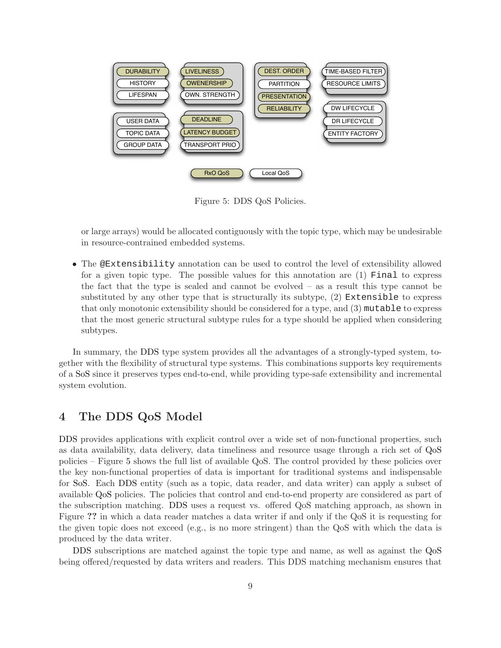

<span id="page-8-1"></span>Figure 5: DDS QoS Policies.

or large arrays) would be allocated contiguously with the topic type, which may be undesirable in resource-contrained embedded systems.

• The @Extensibility annotation can be used to control the level of extensibility allowed for a given topic type. The possible values for this annotation are  $(1)$  Final to express the fact that the type is sealed and cannot be evolved – as a result this type cannot be substituted by any other type that is structurally its subtype, (2) Extensible to express that only monotonic extensibility should be considered for a type, and (3) mutable to express that the most generic structural subtype rules for a type should be applied when considering subtypes.

In summary, the [DDS](#page-17-2) type system provides all the advantages of a strongly-typed system, together with the flexibility of structural type systems. This combinations supports key requirements of a [SoS](#page-17-0) since it preserves types end-to-end, while providing type-safe extensibility and incremental system evolution.

### <span id="page-8-0"></span>4 The DDS QoS Model

[DDS](#page-17-2) provides applications with explicit control over a wide set of non-functional properties, such as data availability, data delivery, data timeliness and resource usage through a rich set of [QoS](#page-17-11) policies – Figure [5](#page-8-1) shows the full list of available QoS. The control provided by these policies over the key non-functional properties of data is important for traditional systems and indispensable for [SoS.](#page-17-0) Each [DDS](#page-17-2) entity (such as a topic, data reader, and data writer) can apply a subset of available [QoS](#page-17-11) policies. The policies that control and end-to-end property are considered as part of the subscription matching. [DDS](#page-17-2) uses a request vs. offered QoS matching approach, as shown in Figure ?? in which a data reader matches a data writer if and only if the QoS it is requesting for the given topic does not exceed (e.g., is no more stringent) than the QoS with which the data is produced by the data writer.

[DDS](#page-17-2) subscriptions are matched against the topic type and name, as well as against the [QoS](#page-17-11) being offered/requested by data writers and readers. This DDS matching mechanism ensures that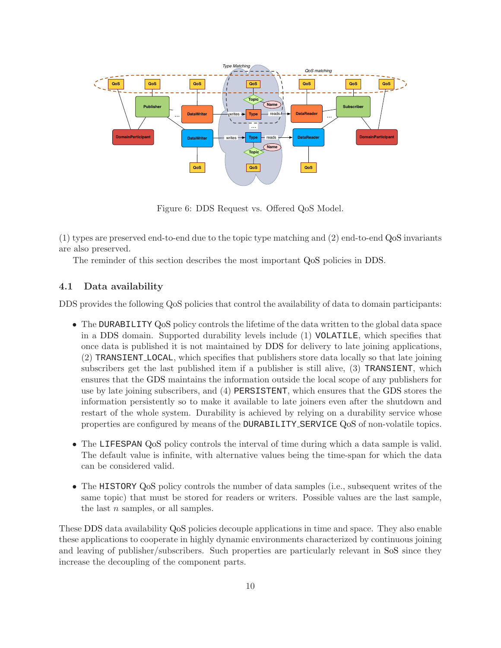

Figure 6: DDS Request vs. Offered QoS Model.

(1) types are preserved end-to-end due to the topic type matching and (2) end-to-end [QoS](#page-17-11) invariants are also preserved.

The reminder of this section describes the most important [QoS](#page-17-11) policies in [DDS.](#page-17-2)

#### 4.1 Data availability

DDS provides the following QoS policies that control the availability of data to domain participants:

- The DURABILITY [QoS](#page-17-11) policy controls the lifetime of the data written to the global data space in a [DDS](#page-17-2) domain. Supported durability levels include (1) VOLATILE, which specifies that once data is published it is not maintained by [DDS](#page-17-2) for delivery to late joining applications, (2) TRANSIENT LOCAL, which specifies that publishers store data locally so that late joining subscribers get the last published item if a publisher is still alive, (3) TRANSIENT, which ensures that the [GDS](#page-17-9) maintains the information outside the local scope of any publishers for use by late joining subscribers, and (4) PERSISTENT, which ensures that the [GDS](#page-17-9) stores the information persistently so to make it available to late joiners even after the shutdown and restart of the whole system. Durability is achieved by relying on a durability service whose properties are configured by means of the DURABILITY\_SERVICE [QoS](#page-17-11) of non-volatile topics.
- The LIFESPAN [QoS](#page-17-11) policy controls the interval of time during which a data sample is valid. The default value is infinite, with alternative values being the time-span for which the data can be considered valid.
- The HISTORY [QoS](#page-17-11) policy controls the number of data samples (i.e., subsequent writes of the same topic) that must be stored for readers or writers. Possible values are the last sample, the last  $n$  samples, or all samples.

These [DDS](#page-17-2) data availability [QoS](#page-17-11) policies decouple applications in time and space. They also enable these applications to cooperate in highly dynamic environments characterized by continuous joining and leaving of publisher/subscribers. Such properties are particularly relevant in [SoS](#page-17-0) since they increase the decoupling of the component parts.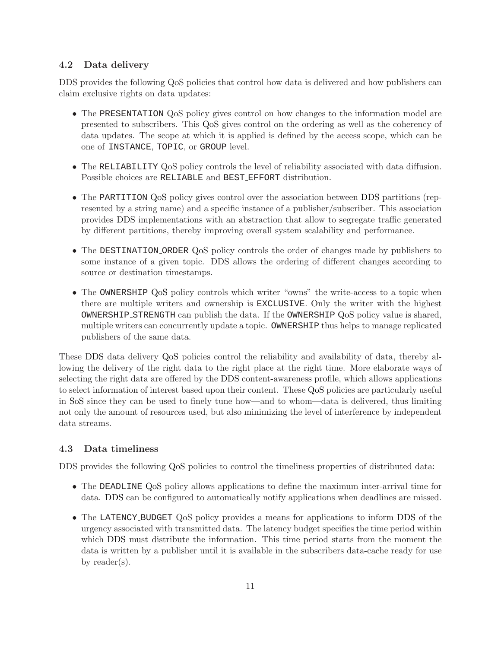### 4.2 Data delivery

DDS provides the following QoS policies that control how data is delivered and how publishers can claim exclusive rights on data updates:

- The PRESENTATION QoS policy gives control on how changes to the information model are presented to subscribers. This [QoS](#page-17-11) gives control on the ordering as well as the coherency of data updates. The scope at which it is applied is defined by the access scope, which can be one of INSTANCE, TOPIC, or GROUP level.
- The RELIABILITY QoS policy controls the level of reliability associated with data diffusion. Possible choices are RELIABLE and BEST EFFORT distribution.
- The PARTITION [QoS](#page-17-11) policy gives control over the association between [DDS](#page-17-2) partitions (represented by a string name) and a specific instance of a publisher/subscriber. This association provides [DDS](#page-17-2) implementations with an abstraction that allow to segregate traffic generated by different partitions, thereby improving overall system scalability and performance.
- The DESTINATION ORDER [QoS](#page-17-11) policy controls the order of changes made by publishers to some instance of a given topic. DDS allows the ordering of different changes according to source or destination timestamps.
- The OWNERSHIP [QoS](#page-17-11) policy controls which writer "owns" the write-access to a topic when there are multiple writers and ownership is EXCLUSIVE. Only the writer with the highest  $OWNERSHIP\_STRENGTH$  can publish the data. If the OWNERSHIP  $QoS$  policy value is shared, multiple writers can concurrently update a topic. OWNERSHIP thus helps to manage replicated publishers of the same data.

These [DDS](#page-17-2) data delivery [QoS](#page-17-11) policies control the reliability and availability of data, thereby allowing the delivery of the right data to the right place at the right time. More elaborate ways of selecting the right data are offered by the [DDS](#page-17-2) content-awareness profile, which allows applications to select information of interest based upon their content. These [QoS](#page-17-11) policies are particularly useful in [SoS](#page-17-0) since they can be used to finely tune how—and to whom—data is delivered, thus limiting not only the amount of resources used, but also minimizing the level of interference by independent data streams.

### 4.3 Data timeliness

DDS provides the following [QoS](#page-17-11) policies to control the timeliness properties of distributed data:

- The DEADLINE [QoS](#page-17-11) policy allows applications to define the maximum inter-arrival time for data. [DDS](#page-17-2) can be configured to automatically notify applications when deadlines are missed.
- The LATENCY BUDGET QoS policy provides a means for applications to inform [DDS](#page-17-2) of the urgency associated with transmitted data. The latency budget specifies the time period within which [DDS](#page-17-2) must distribute the information. This time period starts from the moment the data is written by a publisher until it is available in the subscribers data-cache ready for use by reader(s).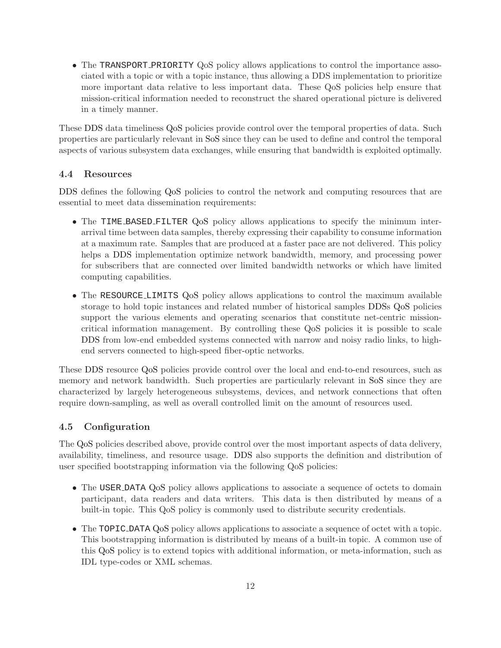• The TRANSPORT\_PRIORITY QoS policy allows applications to control the importance associated with a topic or with a topic instance, thus allowing a DDS implementation to prioritize more important data relative to less important data. These QoS policies help ensure that mission-critical information needed to reconstruct the shared operational picture is delivered in a timely manner.

These [DDS](#page-17-2) data timeliness [QoS](#page-17-11) policies provide control over the temporal properties of data. Such properties are particularly relevant in [SoS](#page-17-0) since they can be used to define and control the temporal aspects of various subsystem data exchanges, while ensuring that bandwidth is exploited optimally.

#### 4.4 Resources

[DDS](#page-17-2) defines the following [QoS](#page-17-11) policies to control the network and computing resources that are essential to meet data dissemination requirements:

- The TIME BASED FILTER [QoS](#page-17-11) policy allows applications to specify the minimum interarrival time between data samples, thereby expressing their capability to consume information at a maximum rate. Samples that are produced at a faster pace are not delivered. This policy helps a [DDS](#page-17-2) implementation optimize network bandwidth, memory, and processing power for subscribers that are connected over limited bandwidth networks or which have limited computing capabilities.
- The RESOURCE LIMITS [QoS](#page-17-11) policy allows applications to control the maximum available storage to hold topic instances and related number of historical samples [DDSs](#page-17-2) [QoS](#page-17-11) policies support the various elements and operating scenarios that constitute net-centric missioncritical information management. By controlling these QoS policies it is possible to scale [DDS](#page-17-2) from low-end embedded systems connected with narrow and noisy radio links, to highend servers connected to high-speed fiber-optic networks.

These [DDS](#page-17-2) resource [QoS](#page-17-11) policies provide control over the local and end-to-end resources, such as memory and network bandwidth. Such properties are particularly relevant in [SoS](#page-17-0) since they are characterized by largely heterogeneous subsystems, devices, and network connections that often require down-sampling, as well as overall controlled limit on the amount of resources used.

### 4.5 Configuration

The [QoS](#page-17-11) policies described above, provide control over the most important aspects of data delivery, availability, timeliness, and resource usage. [DDS](#page-17-2) also supports the definition and distribution of user specified bootstrapping information via the following QoS policies:

- The USER DATA [QoS](#page-17-11) policy allows applications to associate a sequence of octets to domain participant, data readers and data writers. This data is then distributed by means of a built-in topic. This QoS policy is commonly used to distribute security credentials.
- The TOPIC DATA [QoS](#page-17-11) policy allows applications to associate a sequence of octet with a topic. This bootstrapping information is distributed by means of a built-in topic. A common use of this [QoS](#page-17-11) policy is to extend topics with additional information, or meta-information, such as IDL type-codes or XML schemas.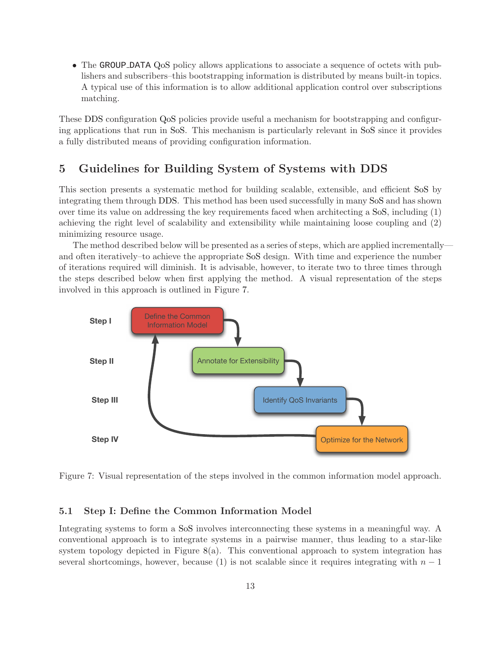• The GROUP DATA [QoS](#page-17-11) policy allows applications to associate a sequence of octets with publishers and subscribers–this bootstrapping information is distributed by means built-in topics. A typical use of this information is to allow additional application control over subscriptions matching.

These [DDS](#page-17-2) configuration [QoS](#page-17-11) policies provide useful a mechanism for bootstrapping and configuring applications that run in [SoS.](#page-17-0) This mechanism is particularly relevant in [SoS](#page-17-0) since it provides a fully distributed means of providing configuration information.

### 5 Guidelines for Building System of Systems with DDS

This section presents a systematic method for building scalable, extensible, and efficient [SoS](#page-17-0) by integrating them through [DDS.](#page-17-2) This method has been used successfully in many [SoS](#page-17-0) and has shown over time its value on addressing the key requirements faced when architecting a [SoS,](#page-17-0) including (1) achieving the right level of scalability and extensibility while maintaining loose coupling and (2) minimizing resource usage.

The method described below will be presented as a series of steps, which are applied incrementally and often iteratively–to achieve the appropriate [SoS](#page-17-0) design. With time and experience the number of iterations required will diminish. It is advisable, however, to iterate two to three times through the steps described below when first applying the method. A visual representation of the steps involved in this approach is outlined in Figure [7.](#page-12-0)



<span id="page-12-0"></span>Figure 7: Visual representation of the steps involved in the common information model approach.

#### 5.1 Step I: Define the Common Information Model

Integrating systems to form a [SoS](#page-17-0) involves interconnecting these systems in a meaningful way. A conventional approach is to integrate systems in a pairwise manner, thus leading to a star-like system topology depicted in Figure  $8(a)$  $8(a)$ . This conventional approach to system integration has several shortcomings, however, because (1) is not scalable since it requires integrating with  $n-1$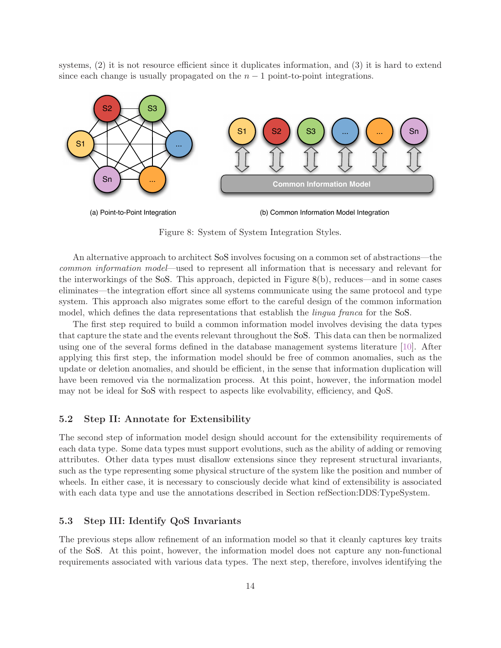systems, (2) it is not resource efficient since it duplicates information, and (3) it is hard to extend since each change is usually propagated on the  $n - 1$  point-to-point integrations.



<span id="page-13-0"></span>Figure 8: System of System Integration Styles.

An alternative approach to architect [SoS](#page-17-0) involves focusing on a common set of abstractions—the common information model—used to represent all information that is necessary and relevant for the interworkings of the [SoS.](#page-17-0) This approach, depicted in Figure [8\(](#page-13-0)b), reduces—and in some cases eliminates—the integration effort since all systems communicate using the same protocol and type system. This approach also migrates some effort to the careful design of the common information model, which defines the data representations that establish the *lingua franca* for the [SoS.](#page-17-0)

The first step required to build a common information model involves devising the data types that capture the state and the events relevant throughout the [SoS.](#page-17-0) This data can then be normalized using one of the several forms defined in the database management systems literature [\[10\]](#page-18-9). After applying this first step, the information model should be free of common anomalies, such as the update or deletion anomalies, and should be efficient, in the sense that information duplication will have been removed via the normalization process. At this point, however, the information model may not be ideal for [SoS](#page-17-0) with respect to aspects like evolvability, efficiency, and QoS.

#### 5.2 Step II: Annotate for Extensibility

The second step of information model design should account for the extensibility requirements of each data type. Some data types must support evolutions, such as the ability of adding or removing attributes. Other data types must disallow extensions since they represent structural invariants, such as the type representing some physical structure of the system like the position and number of wheels. In either case, it is necessary to consciously decide what kind of extensibility is associated with each data type and use the annotations described in Section refSection:DDS:TypeSystem.

#### 5.3 Step III: Identify QoS Invariants

The previous steps allow refinement of an information model so that it cleanly captures key traits of the [SoS.](#page-17-0) At this point, however, the information model does not capture any non-functional requirements associated with various data types. The next step, therefore, involves identifying the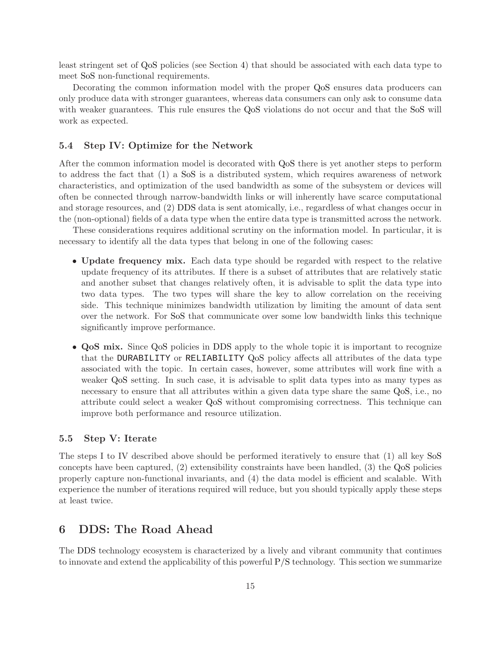least stringent set of [QoS](#page-17-11) policies (see Section [4\)](#page-8-0) that should be associated with each data type to meet [SoS](#page-17-0) non-functional requirements.

Decorating the common information model with the proper [QoS](#page-17-11) ensures data producers can only produce data with stronger guarantees, whereas data consumers can only ask to consume data with weaker guarantees. This rule ensures the [QoS](#page-17-11) violations do not occur and that the [SoS](#page-17-0) will work as expected.

#### 5.4 Step IV: Optimize for the Network

After the common information model is decorated with [QoS](#page-17-11) there is yet another steps to perform to address the fact that (1) a [SoS](#page-17-0) is a distributed system, which requires awareness of network characteristics, and optimization of the used bandwidth as some of the subsystem or devices will often be connected through narrow-bandwidth links or will inherently have scarce computational and storage resources, and (2) [DDS](#page-17-2) data is sent atomically, i.e., regardless of what changes occur in the (non-optional) fields of a data type when the entire data type is transmitted across the network.

These considerations requires additional scrutiny on the information model. In particular, it is necessary to identify all the data types that belong in one of the following cases:

- Update frequency mix. Each data type should be regarded with respect to the relative update frequency of its attributes. If there is a subset of attributes that are relatively static and another subset that changes relatively often, it is advisable to split the data type into two data types. The two types will share the key to allow correlation on the receiving side. This technique minimizes bandwidth utilization by limiting the amount of data sent over the network. For [SoS](#page-17-0) that communicate over some low bandwidth links this technique significantly improve performance.
- **[QoS](#page-17-11)** mix. Since QoS policies in [DDS](#page-17-2) apply to the whole topic it is important to recognize that the DURABILITY or RELIABILITY [QoS](#page-17-11) policy affects all attributes of the data type associated with the topic. In certain cases, however, some attributes will work fine with a weaker [QoS](#page-17-11) setting. In such case, it is advisable to split data types into as many types as necessary to ensure that all attributes within a given data type share the same [QoS,](#page-17-11) i.e., no attribute could select a weaker [QoS](#page-17-11) without compromising correctness. This technique can improve both performance and resource utilization.

#### 5.5 Step V: Iterate

The steps I to IV described above should be performed iteratively to ensure that (1) all key [SoS](#page-17-0) concepts have been captured, (2) extensibility constraints have been handled, (3) the [QoS](#page-17-11) policies properly capture non-functional invariants, and (4) the data model is efficient and scalable. With experience the number of iterations required will reduce, but you should typically apply these steps at least twice.

#### 6 DDS: The Road Ahead

The [DDS](#page-17-2) technology ecosystem is characterized by a lively and vibrant community that continues to innovate and extend the applicability of this powerful [P/S](#page-17-3) technology. This section we summarize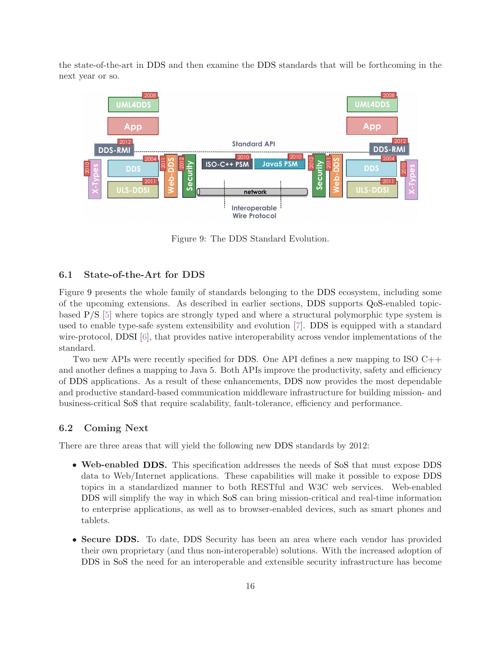the state-of-the-art in [DDS](#page-17-2) and then examine the [DDS](#page-17-2) standards that will be forthcoming in the next year or so.



<span id="page-15-0"></span>Figure 9: The DDS Standard Evolution.

#### 6.1 State-of-the-Art for DDS

Figure [9](#page-15-0) presents the whole family of standards belonging to the [DDS](#page-17-2) ecosystem, including some of the upcoming extensions. As described in earlier sections, [DDS](#page-17-2) supports [QoS-](#page-17-11)enabled topicbased [P/S](#page-17-3) [\[5\]](#page-18-1) where topics are strongly typed and where a structural polymorphic type system is used to enable type-safe system extensibility and evolution [\[7\]](#page-18-5). [DDS](#page-17-2) is equipped with a standard wire-protocol, [DDSI](#page-17-4) [\[6\]](#page-18-3), that provides native interoperability across vendor implementations of the standard.

Two new APIs were recently specified for [DDS.](#page-17-2) One API defines a new mapping to ISO  $C++$ and another defines a mapping to Java 5. Both APIs improve the productivity, safety and efficiency of [DDS](#page-17-2) applications. As a result of these enhancements, [DDS](#page-17-2) now provides the most dependable and productive standard-based communication middleware infrastructure for building mission- and business-critical [SoS](#page-17-0) that require scalability, fault-tolerance, efficiency and performance.

#### 6.2 Coming Next

There are three areas that will yield the following new [DDS](#page-17-2) standards by 2012:

- Web-enabled [DDS.](#page-17-2) This specification addresses the needs of [SoS](#page-17-0) that must expose [DDS](#page-17-2) data to Web/Internet applications. These capabilities will make it possible to expose [DDS](#page-17-2) topics in a standardized manner to both RESTful and W3C web services. Web-enabled [DDS](#page-17-2) will simplify the way in which [SoS](#page-17-0) can bring mission-critical and real-time information to enterprise applications, as well as to browser-enabled devices, such as smart phones and tablets.
- Secure [DDS.](#page-17-2) To date, [DDS](#page-17-2) Security has been an area where each vendor has provided their own proprietary (and thus non-interoperable) solutions. With the increased adoption of [DDS](#page-17-2) in [SoS](#page-17-0) the need for an interoperable and extensible security infrastructure has become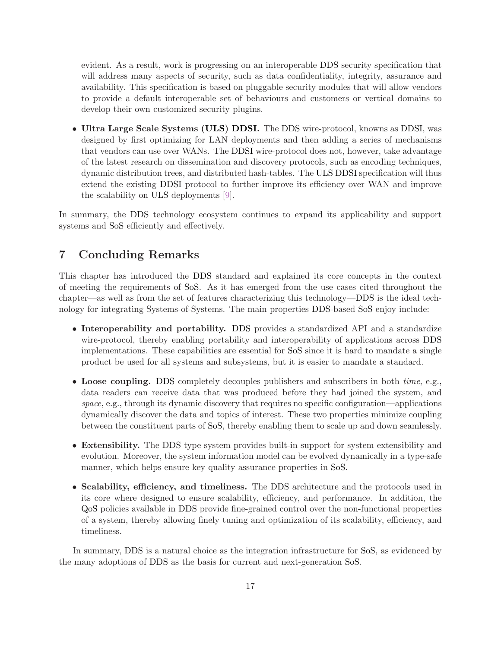evident. As a result, work is progressing on an interoperable [DDS](#page-17-2) security specification that will address many aspects of security, such as data confidentiality, integrity, assurance and availability. This specification is based on pluggable security modules that will allow vendors to provide a default interoperable set of behaviours and customers or vertical domains to develop their own customized security plugins.

<span id="page-16-0"></span>• Ultra Large Scale Systems [\(ULS\)](#page-17-15) [DDSI.](#page-17-4) The [DDS](#page-17-2) wire-protocol, knowns as [DDSI,](#page-17-4) was designed by first optimizing for LAN deployments and then adding a series of mechanisms that vendors can use over WANs. The [DDSI](#page-17-4) wire-protocol does not, however, take advantage of the latest research on dissemination and discovery protocols, such as encoding techniques, dynamic distribution trees, and distributed hash-tables. The [ULS](#page-17-15) [DDSI](#page-17-4) specification will thus extend the existing [DDSI](#page-17-4) protocol to further improve its efficiency over WAN and improve the scalability on [ULS](#page-17-15) deployments [\[9\]](#page-18-0).

In summary, the [DDS](#page-17-2) technology ecosystem continues to expand its applicability and support systems and [SoS](#page-17-0) efficiently and effectively.

### 7 Concluding Remarks

This chapter has introduced the [DDS](#page-17-2) standard and explained its core concepts in the context of meeting the requirements of [SoS.](#page-17-0) As it has emerged from the use cases cited throughout the chapter—as well as from the set of features characterizing this technology[—DDS](#page-17-2) is the ideal technology for integrating Systems-of-Systems. The main properties [DDS-](#page-17-2)based [SoS](#page-17-0) enjoy include:

- Interoperability and portability. [DDS](#page-17-2) provides a standardized API and a standardize wire-protocol, thereby enabling portability and interoperability of applications across [DDS](#page-17-2) implementations. These capabilities are essential for [SoS](#page-17-0) since it is hard to mandate a single product be used for all systems and subsystems, but it is easier to mandate a standard.
- Loose coupling. [DDS](#page-17-2) completely decouples publishers and subscribers in both *time*, e.g., data readers can receive data that was produced before they had joined the system, and space, e.g., through its dynamic discovery that requires no specific configuration—applications dynamically discover the data and topics of interest. These two properties minimize coupling between the constituent parts of [SoS,](#page-17-0) thereby enabling them to scale up and down seamlessly.
- Extensibility. The [DDS](#page-17-2) type system provides built-in support for system extensibility and evolution. Moreover, the system information model can be evolved dynamically in a type-safe manner, which helps ensure key quality assurance properties in [SoS.](#page-17-0)
- Scalability, efficiency, and timeliness. The [DDS](#page-17-2) architecture and the protocols used in its core where designed to ensure scalability, efficiency, and performance. In addition, the [QoS](#page-17-11) policies available in [DDS](#page-17-2) provide fine-grained control over the non-functional properties of a system, thereby allowing finely tuning and optimization of its scalability, efficiency, and timeliness.

In summary, [DDS](#page-17-2) is a natural choice as the integration infrastructure for [SoS,](#page-17-0) as evidenced by the many adoptions of [DDS](#page-17-2) as the basis for current and next-generation [SoS.](#page-17-0)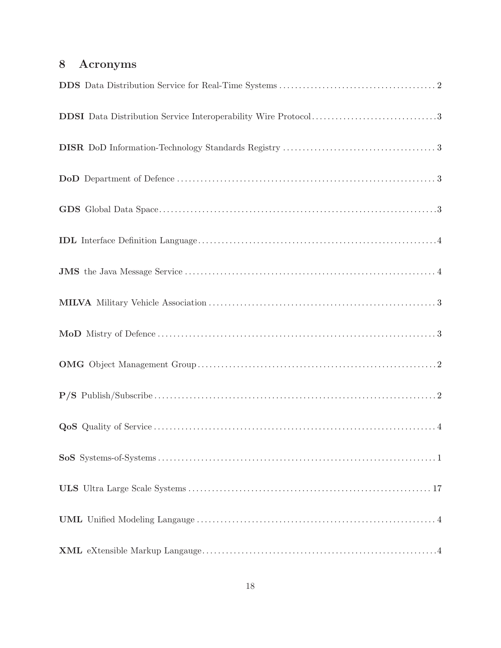## 8 Acronyms

<span id="page-17-15"></span><span id="page-17-14"></span><span id="page-17-13"></span><span id="page-17-12"></span><span id="page-17-11"></span><span id="page-17-10"></span><span id="page-17-9"></span><span id="page-17-8"></span><span id="page-17-7"></span><span id="page-17-6"></span><span id="page-17-5"></span><span id="page-17-4"></span><span id="page-17-3"></span><span id="page-17-2"></span><span id="page-17-1"></span><span id="page-17-0"></span>

| $\textbf{DDSI} \text{ Data Distribution Service Interoperability Write Protocol}. \textcolor{red}{\text{1}} \text{1} \text{1} \text{2} \text{2} \text{3} \text{3} \text{4} \text{4} \text{4} \text{4} \text{5} \text{4} \text{6} \text{6} \text{6} \text{7} \text{6} \text{7} \text{6} \text{8} \text{7} \text{6} \text{8} \text{7} \text{6} \text{8} \text{8} \text{7} \text{6} \text{9} \text{8} \text{9} \text{1} \text{1} \text{1} \text{1} \text{1} \text{1$ |
|-------------------------------------------------------------------------------------------------------------------------------------------------------------------------------------------------------------------------------------------------------------------------------------------------------------------------------------------------------------------------------------------------------------------------------------------------------------------|
|                                                                                                                                                                                                                                                                                                                                                                                                                                                                   |
|                                                                                                                                                                                                                                                                                                                                                                                                                                                                   |
|                                                                                                                                                                                                                                                                                                                                                                                                                                                                   |
|                                                                                                                                                                                                                                                                                                                                                                                                                                                                   |
|                                                                                                                                                                                                                                                                                                                                                                                                                                                                   |
|                                                                                                                                                                                                                                                                                                                                                                                                                                                                   |
|                                                                                                                                                                                                                                                                                                                                                                                                                                                                   |
|                                                                                                                                                                                                                                                                                                                                                                                                                                                                   |
|                                                                                                                                                                                                                                                                                                                                                                                                                                                                   |
|                                                                                                                                                                                                                                                                                                                                                                                                                                                                   |
|                                                                                                                                                                                                                                                                                                                                                                                                                                                                   |
|                                                                                                                                                                                                                                                                                                                                                                                                                                                                   |
|                                                                                                                                                                                                                                                                                                                                                                                                                                                                   |
|                                                                                                                                                                                                                                                                                                                                                                                                                                                                   |